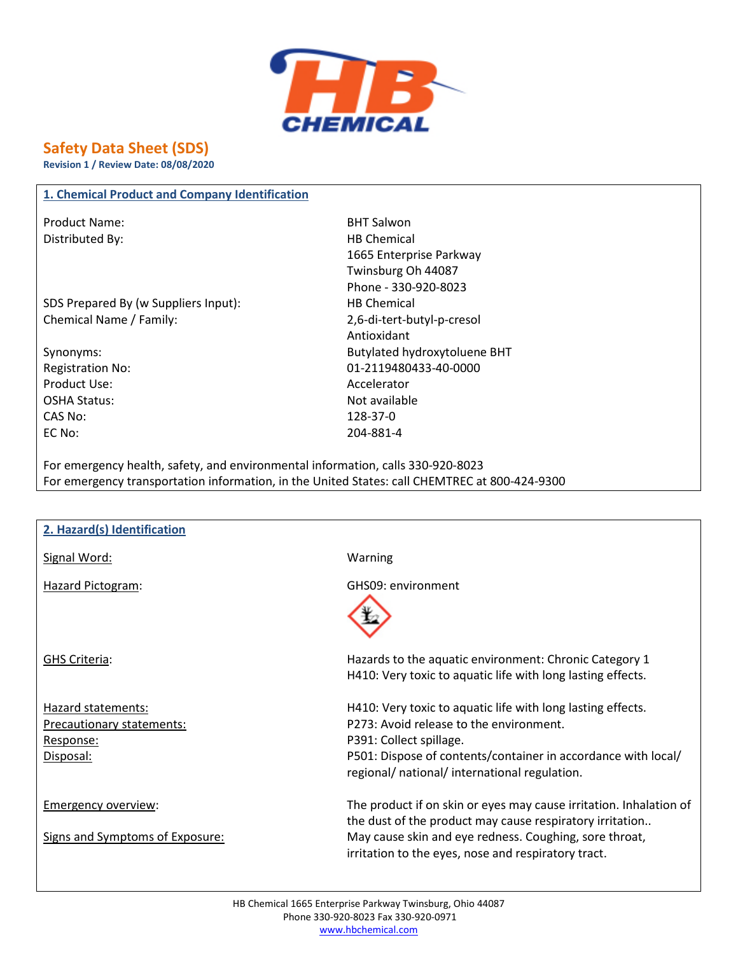

# **Safety Data Sheet (SDS)**

**Revision 1 / Review Date: 08/08/2020**

#### **1. Chemical Product and Company Identification**

Product Name: BHT Salwon Distributed By: Notice and Security and Security HB Chemical

SDS Prepared By (w Suppliers Input): HB Chemical Chemical Name / Family: 2,6-di-tert-butyl-p-cresol

Product Use: Accelerator OSHA Status: Not available CAS No: 128-37-0 EC No: 204-881-4

1665 Enterprise Parkway Twinsburg Oh 44087 Phone - 330-920-8023 Antioxidant Synonyms: Butylated hydroxytoluene BHT Registration No: 01-2119480433-40-0000

For emergency health, safety, and environmental information, calls 330-920-8023 For emergency transportation information, in the United States: call CHEMTREC at 800-424-9300

| 2. Hazard(s) Identification     |                                                                                                                                                                           |
|---------------------------------|---------------------------------------------------------------------------------------------------------------------------------------------------------------------------|
| Signal Word:                    | Warning                                                                                                                                                                   |
| <b>Hazard Pictogram:</b>        | GHS09: environment                                                                                                                                                        |
| GHS Criteria:                   | Hazards to the aquatic environment: Chronic Category 1<br>H410: Very toxic to aquatic life with long lasting effects.                                                     |
| Hazard statements:              | H410: Very toxic to aquatic life with long lasting effects.                                                                                                               |
| Precautionary statements:       | P273: Avoid release to the environment.                                                                                                                                   |
| Response:                       | P391: Collect spillage.                                                                                                                                                   |
| Disposal:                       | P501: Dispose of contents/container in accordance with local/<br>regional/ national/ international regulation.                                                            |
| <b>Emergency overview:</b>      | The product if on skin or eyes may cause irritation. Inhalation of                                                                                                        |
| Signs and Symptoms of Exposure: | the dust of the product may cause respiratory irritation<br>May cause skin and eye redness. Coughing, sore throat,<br>irritation to the eyes, nose and respiratory tract. |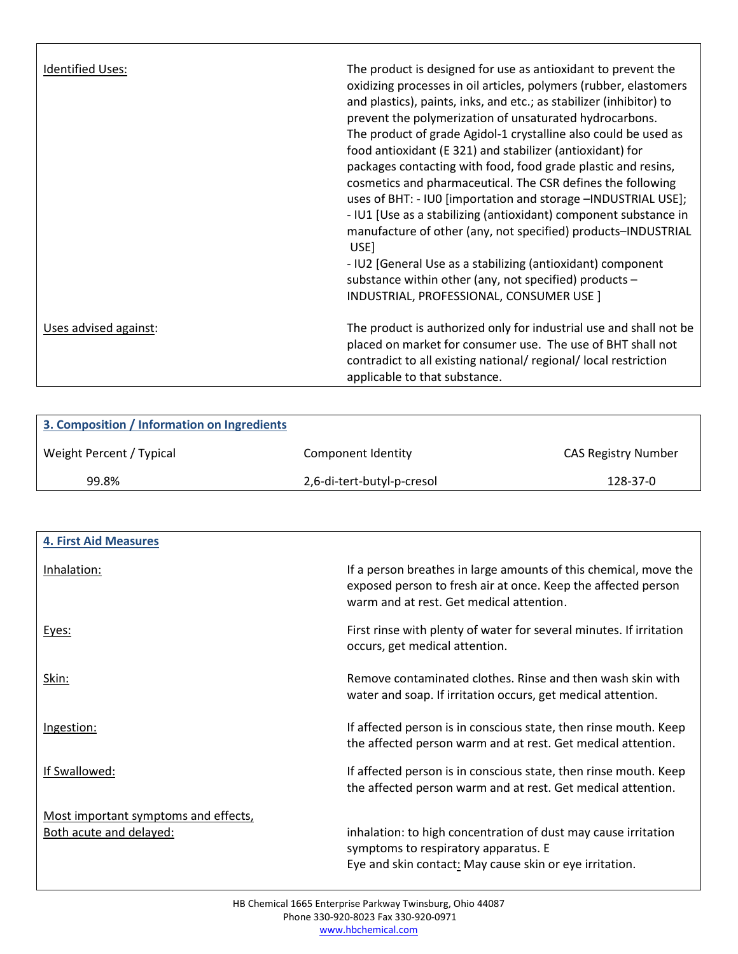| Identified Uses:      | The product is designed for use as antioxidant to prevent the<br>oxidizing processes in oil articles, polymers (rubber, elastomers<br>and plastics), paints, inks, and etc.; as stabilizer (inhibitor) to<br>prevent the polymerization of unsaturated hydrocarbons.<br>The product of grade Agidol-1 crystalline also could be used as<br>food antioxidant (E 321) and stabilizer (antioxidant) for<br>packages contacting with food, food grade plastic and resins,<br>cosmetics and pharmaceutical. The CSR defines the following<br>uses of BHT: - IU0 [importation and storage -INDUSTRIAL USE];<br>- IU1 [Use as a stabilizing (antioxidant) component substance in<br>manufacture of other (any, not specified) products-INDUSTRIAL<br>USE]<br>- IU2 [General Use as a stabilizing (antioxidant) component<br>substance within other (any, not specified) products -<br>INDUSTRIAL, PROFESSIONAL, CONSUMER USE ] |
|-----------------------|-------------------------------------------------------------------------------------------------------------------------------------------------------------------------------------------------------------------------------------------------------------------------------------------------------------------------------------------------------------------------------------------------------------------------------------------------------------------------------------------------------------------------------------------------------------------------------------------------------------------------------------------------------------------------------------------------------------------------------------------------------------------------------------------------------------------------------------------------------------------------------------------------------------------------|
| Uses advised against: | The product is authorized only for industrial use and shall not be<br>placed on market for consumer use. The use of BHT shall not<br>contradict to all existing national/ regional/ local restriction<br>applicable to that substance.                                                                                                                                                                                                                                                                                                                                                                                                                                                                                                                                                                                                                                                                                  |

Г

| 3. Composition / Information on Ingredients |                            |                            |
|---------------------------------------------|----------------------------|----------------------------|
| Weight Percent / Typical                    | Component Identity         | <b>CAS Registry Number</b> |
| 99.8%                                       | 2,6-di-tert-butyl-p-cresol | 128-37-0                   |

| <b>4. First Aid Measures</b>         |                                                                                                                                                                               |
|--------------------------------------|-------------------------------------------------------------------------------------------------------------------------------------------------------------------------------|
| Inhalation:                          | If a person breathes in large amounts of this chemical, move the<br>exposed person to fresh air at once. Keep the affected person<br>warm and at rest. Get medical attention. |
| Eyes:                                | First rinse with plenty of water for several minutes. If irritation<br>occurs, get medical attention.                                                                         |
| Skin:                                | Remove contaminated clothes. Rinse and then wash skin with<br>water and soap. If irritation occurs, get medical attention.                                                    |
| Ingestion:                           | If affected person is in conscious state, then rinse mouth. Keep<br>the affected person warm and at rest. Get medical attention.                                              |
| If Swallowed:                        | If affected person is in conscious state, then rinse mouth. Keep<br>the affected person warm and at rest. Get medical attention.                                              |
| Most important symptoms and effects, |                                                                                                                                                                               |
| Both acute and delayed:              | inhalation: to high concentration of dust may cause irritation<br>symptoms to respiratory apparatus. E                                                                        |
|                                      | Eye and skin contact: May cause skin or eye irritation.                                                                                                                       |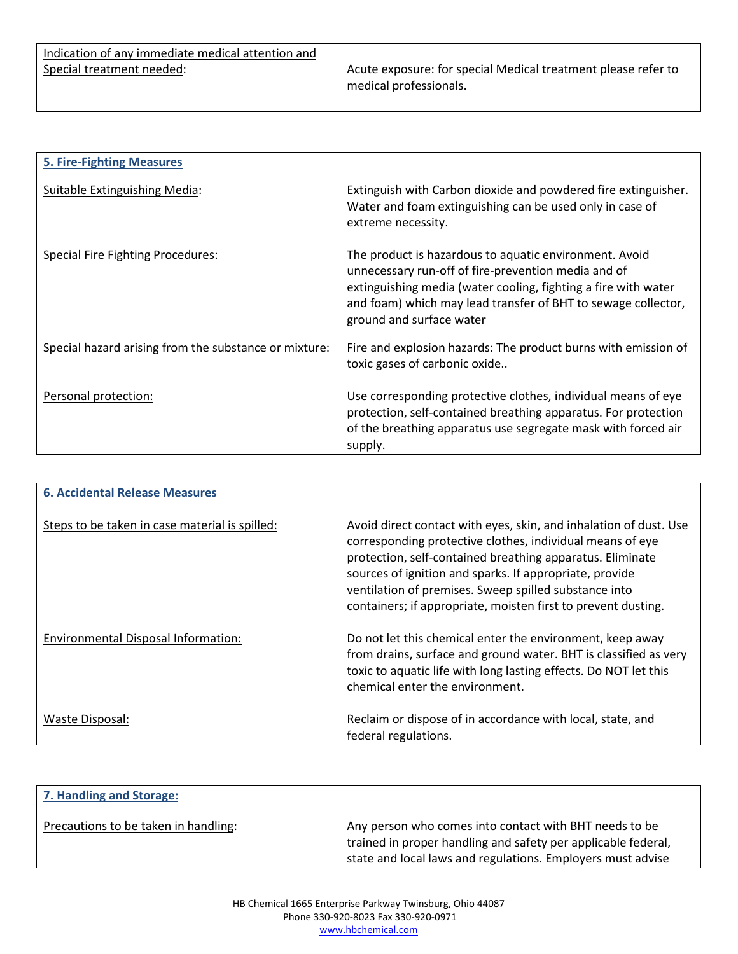Acute exposure: for special Medical treatment please refer to medical professionals.

| <b>5. Fire-Fighting Measures</b>                      |                                                                                                                                                                                                                                                                              |
|-------------------------------------------------------|------------------------------------------------------------------------------------------------------------------------------------------------------------------------------------------------------------------------------------------------------------------------------|
| Suitable Extinguishing Media:                         | Extinguish with Carbon dioxide and powdered fire extinguisher.<br>Water and foam extinguishing can be used only in case of<br>extreme necessity.                                                                                                                             |
| Special Fire Fighting Procedures:                     | The product is hazardous to aquatic environment. Avoid<br>unnecessary run-off of fire-prevention media and of<br>extinguishing media (water cooling, fighting a fire with water<br>and foam) which may lead transfer of BHT to sewage collector,<br>ground and surface water |
| Special hazard arising from the substance or mixture: | Fire and explosion hazards: The product burns with emission of<br>toxic gases of carbonic oxide                                                                                                                                                                              |
| Personal protection:                                  | Use corresponding protective clothes, individual means of eye<br>protection, self-contained breathing apparatus. For protection<br>of the breathing apparatus use segregate mask with forced air<br>supply.                                                                  |

| <b>6. Accidental Release Measures</b>          |                                                                                                                                                                                                                                                                                                                                                                                  |
|------------------------------------------------|----------------------------------------------------------------------------------------------------------------------------------------------------------------------------------------------------------------------------------------------------------------------------------------------------------------------------------------------------------------------------------|
| Steps to be taken in case material is spilled: | Avoid direct contact with eyes, skin, and inhalation of dust. Use<br>corresponding protective clothes, individual means of eye<br>protection, self-contained breathing apparatus. Eliminate<br>sources of ignition and sparks. If appropriate, provide<br>ventilation of premises. Sweep spilled substance into<br>containers; if appropriate, moisten first to prevent dusting. |
| Environmental Disposal Information:            | Do not let this chemical enter the environment, keep away<br>from drains, surface and ground water. BHT is classified as very<br>toxic to aquatic life with long lasting effects. Do NOT let this<br>chemical enter the environment.                                                                                                                                             |
| Waste Disposal:                                | Reclaim or dispose of in accordance with local, state, and<br>federal regulations.                                                                                                                                                                                                                                                                                               |

| 7. Handling and Storage:             |                                                                                                                                                                                        |
|--------------------------------------|----------------------------------------------------------------------------------------------------------------------------------------------------------------------------------------|
| Precautions to be taken in handling: | Any person who comes into contact with BHT needs to be<br>trained in proper handling and safety per applicable federal,<br>state and local laws and regulations. Employers must advise |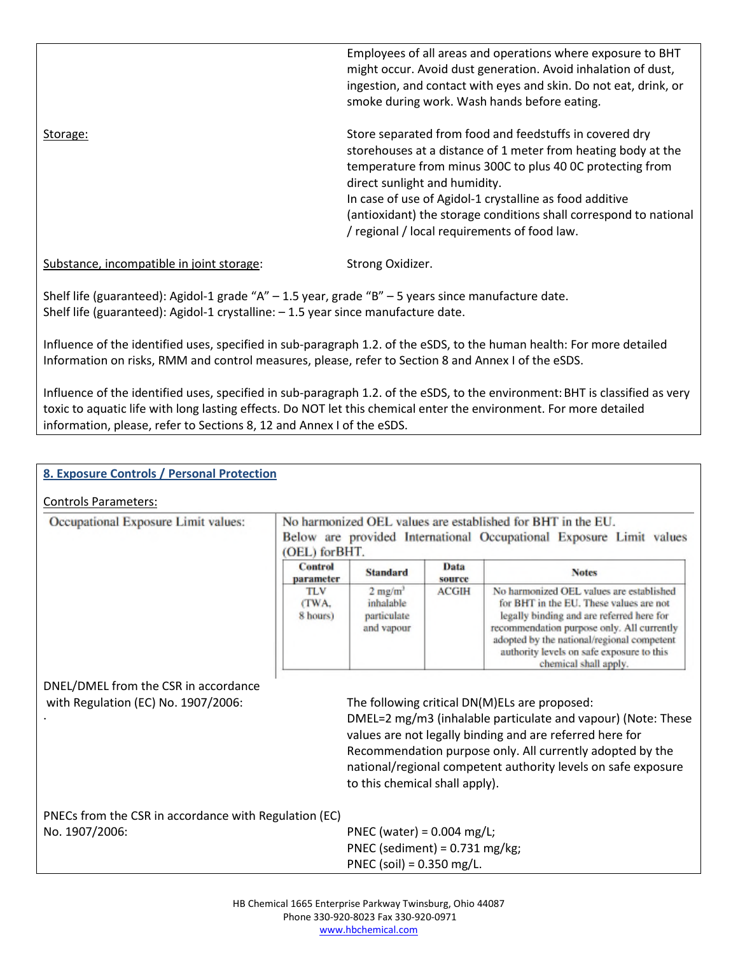|                                           | Employees of all areas and operations where exposure to BHT<br>might occur. Avoid dust generation. Avoid inhalation of dust,<br>ingestion, and contact with eyes and skin. Do not eat, drink, or<br>smoke during work. Wash hands before eating.                                                                                                                                                       |
|-------------------------------------------|--------------------------------------------------------------------------------------------------------------------------------------------------------------------------------------------------------------------------------------------------------------------------------------------------------------------------------------------------------------------------------------------------------|
| Storage:                                  | Store separated from food and feedstuffs in covered dry<br>storehouses at a distance of 1 meter from heating body at the<br>temperature from minus 300C to plus 40 0C protecting from<br>direct sunlight and humidity.<br>In case of use of Agidol-1 crystalline as food additive<br>(antioxidant) the storage conditions shall correspond to national<br>/ regional / local requirements of food law. |
| Substance, incompatible in joint storage: | Strong Oxidizer.                                                                                                                                                                                                                                                                                                                                                                                       |

Shelf life (guaranteed): Agidol-1 grade "A" – 1.5 year, grade "B" – 5 years since manufacture date. Shelf life (guaranteed): Agidol-1 crystalline: – 1.5 year since manufacture date.

Influence of the identified uses, specified in sub-paragraph 1.2. of the eSDS, to the human health: For more detailed Information on risks, RMM and control measures, please, refer to Section 8 and Annex I of the eSDS.

Influence of the identified uses, specified in sub-paragraph 1.2. of the eSDS, to the environment: BHT is classified as very toxic to aquatic life with long lasting effects. Do NOT let this chemical enter the environment. For more detailed information, please, refer to Sections 8, 12 and Annex I of the eSDS.

# Controls Parameters:

| Occupational Exposure Limit values:                   | No harmonized OEL values are established for BHT in the EU.<br>Below are provided International Occupational Exposure Limit values<br>(OEL) for BHT. |                                                                 |                |                                                                                                                                                                                                                                                                                                         |
|-------------------------------------------------------|------------------------------------------------------------------------------------------------------------------------------------------------------|-----------------------------------------------------------------|----------------|---------------------------------------------------------------------------------------------------------------------------------------------------------------------------------------------------------------------------------------------------------------------------------------------------------|
|                                                       | <b>Control</b><br>parameter                                                                                                                          | <b>Standard</b>                                                 | Data<br>source | <b>Notes</b>                                                                                                                                                                                                                                                                                            |
|                                                       | <b>TLV</b><br>(TWA.<br>8 hours)                                                                                                                      | $2$ mg/m <sup>3</sup><br>inhalable<br>particulate<br>and vapour | <b>ACGIH</b>   | No harmonized OEL values are established<br>for BHT in the EU. These values are not<br>legally binding and are referred here for<br>recommendation purpose only. All currently<br>adopted by the national/regional competent<br>authority levels on safe exposure to this<br>chemical shall apply.      |
| DNEL/DMEL from the CSR in accordance                  |                                                                                                                                                      |                                                                 |                |                                                                                                                                                                                                                                                                                                         |
| with Regulation (EC) No. 1907/2006:                   |                                                                                                                                                      | to this chemical shall apply).                                  |                | The following critical DN(M)ELs are proposed:<br>DMEL=2 mg/m3 (inhalable particulate and vapour) (Note: These<br>values are not legally binding and are referred here for<br>Recommendation purpose only. All currently adopted by the<br>national/regional competent authority levels on safe exposure |
| PNECs from the CSR in accordance with Regulation (EC) |                                                                                                                                                      |                                                                 |                |                                                                                                                                                                                                                                                                                                         |
| No. 1907/2006:                                        |                                                                                                                                                      | PNEC (water) = $0.004$ mg/L;                                    |                |                                                                                                                                                                                                                                                                                                         |
|                                                       |                                                                                                                                                      | PNEC (sediment) = $0.731$ mg/kg;                                |                |                                                                                                                                                                                                                                                                                                         |
|                                                       |                                                                                                                                                      | PNEC (soil) = $0.350$ mg/L.                                     |                |                                                                                                                                                                                                                                                                                                         |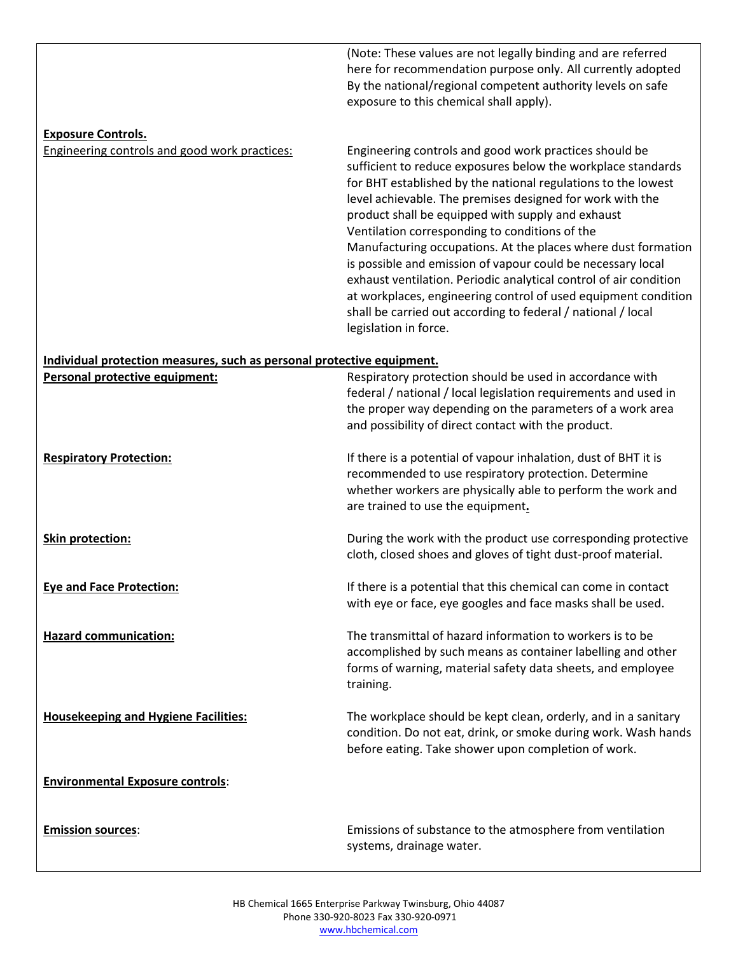(Note: These values are not legally binding and are referred here for recommendation purpose only. All currently adopted By the national/regional competent authority levels on safe exposure to this chemical shall apply).

#### **Exposure Controls.**

Engineering controls and good work practices: Engineering controls and good work practices should be sufficient to reduce exposures below the workplace standards for BHT established by the national regulations to the lowest level achievable. The premises designed for work with the product shall be equipped with supply and exhaust Ventilation corresponding to conditions of the Manufacturing occupations. At the places where dust formation is possible and emission of vapour could be necessary local exhaust ventilation. Periodic analytical control of air condition at workplaces, engineering control of used equipment condition shall be carried out according to federal / national / local legislation in force.

## **Individual protection measures, such as personal protective equipment.**

| Personal protective equipment:              | Respiratory protection should be used in accordance with<br>federal / national / local legislation requirements and used in<br>the proper way depending on the parameters of a work area<br>and possibility of direct contact with the product. |
|---------------------------------------------|-------------------------------------------------------------------------------------------------------------------------------------------------------------------------------------------------------------------------------------------------|
| <b>Respiratory Protection:</b>              | If there is a potential of vapour inhalation, dust of BHT it is<br>recommended to use respiratory protection. Determine<br>whether workers are physically able to perform the work and<br>are trained to use the equipment.                     |
| Skin protection:                            | During the work with the product use corresponding protective<br>cloth, closed shoes and gloves of tight dust-proof material.                                                                                                                   |
| <b>Eye and Face Protection:</b>             | If there is a potential that this chemical can come in contact<br>with eye or face, eye googles and face masks shall be used.                                                                                                                   |
| <b>Hazard communication:</b>                | The transmittal of hazard information to workers is to be<br>accomplished by such means as container labelling and other<br>forms of warning, material safety data sheets, and employee<br>training.                                            |
| <b>Housekeeping and Hygiene Facilities:</b> | The workplace should be kept clean, orderly, and in a sanitary<br>condition. Do not eat, drink, or smoke during work. Wash hands<br>before eating. Take shower upon completion of work.                                                         |
| <b>Environmental Exposure controls:</b>     |                                                                                                                                                                                                                                                 |
| <b>Emission sources:</b>                    | Emissions of substance to the atmosphere from ventilation<br>systems, drainage water.                                                                                                                                                           |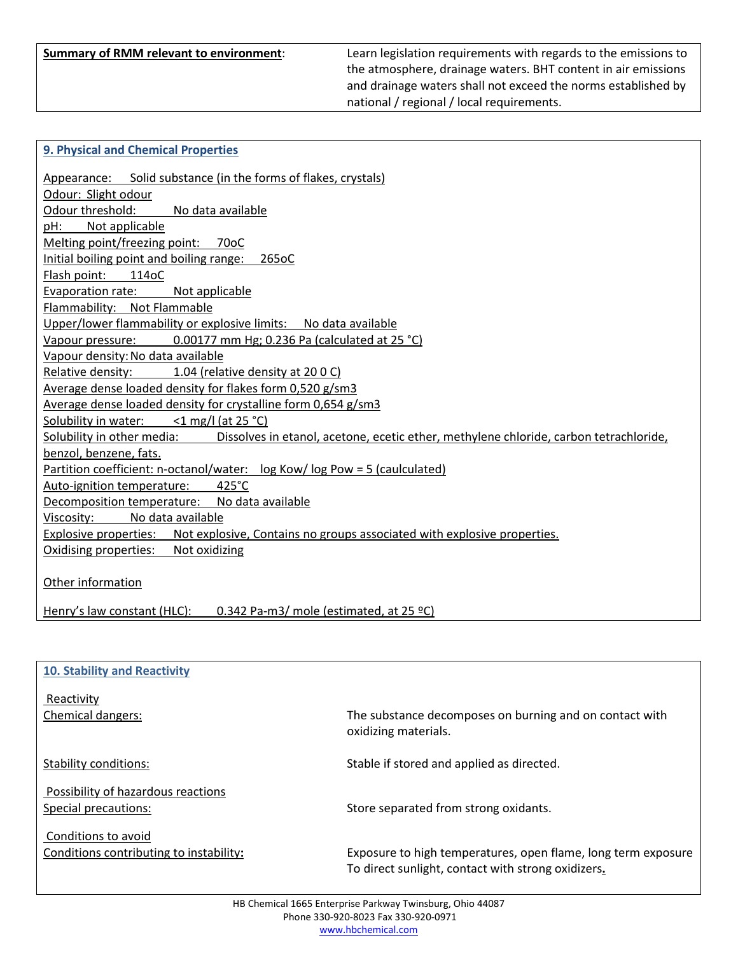**Summary of RMM relevant to environment**: Learn legislation requirements with regards to the emissions to the atmosphere, drainage waters. BHT content in air emissions and drainage waters shall not exceed the norms established by national / regional / local requirements.

#### **9. Physical and Chemical Properties**

| Appearance: Solid substance (in the forms of flakes, crystals)                                                   |
|------------------------------------------------------------------------------------------------------------------|
| Odour: Slight odour                                                                                              |
| Odour threshold: No data available                                                                               |
| pH:<br>Not applicable                                                                                            |
| Melting point/freezing point: 70oC                                                                               |
| Initial boiling point and boiling range:<br>265oC                                                                |
| Flash point:<br>114oC                                                                                            |
| Evaporation rate:<br>Not applicable                                                                              |
| Flammability: Not Flammable                                                                                      |
| Upper/lower flammability or explosive limits: No data available                                                  |
| 0.00177 mm Hg; 0.236 Pa (calculated at 25 °C)<br>Vapour pressure:                                                |
| Vapour density: No data available                                                                                |
| Relative density: 1.04 (relative density at 200C)                                                                |
| Average dense loaded density for flakes form 0,520 g/sm3                                                         |
| Average dense loaded density for crystalline form 0,654 g/sm3                                                    |
| Solubility in water:<br>$<$ 1 mg/l (at 25 °C)                                                                    |
| Solubility in other media: Dissolves in etanol, acetone, ecetic ether, methylene chloride, carbon tetrachloride, |
| benzol, benzene, fats.                                                                                           |
| Partition coefficient: n-octanol/water: log Kow/log Pow = 5 (caulculated)                                        |
| Auto-ignition temperature: 425°C                                                                                 |
| Decomposition temperature: No data available                                                                     |
| No data available<br>Viscosity:                                                                                  |
| Explosive properties: Not explosive, Contains no groups associated with explosive properties.                    |
| Oxidising properties: Not oxidizing                                                                              |
|                                                                                                                  |
| Other information                                                                                                |
|                                                                                                                  |
| Henry's law constant (HLC): 0.342 Pa-m3/ mole (estimated, at 25 °C)                                              |

#### **10. Stability and Reactivity**

# Reactivity

Possibility of hazardous reactions

Conditions to avoid

Chemical dangers: The substance decomposes on burning and on contact with oxidizing materials.

Stability conditions: Stable if stored and applied as directed.

Special precautions: Special precautions: Store separated from strong oxidants.

Conditions contributing to instability**:** Exposure to high temperatures, open flame, long term exposure To direct sunlight, contact with strong oxidizers**.**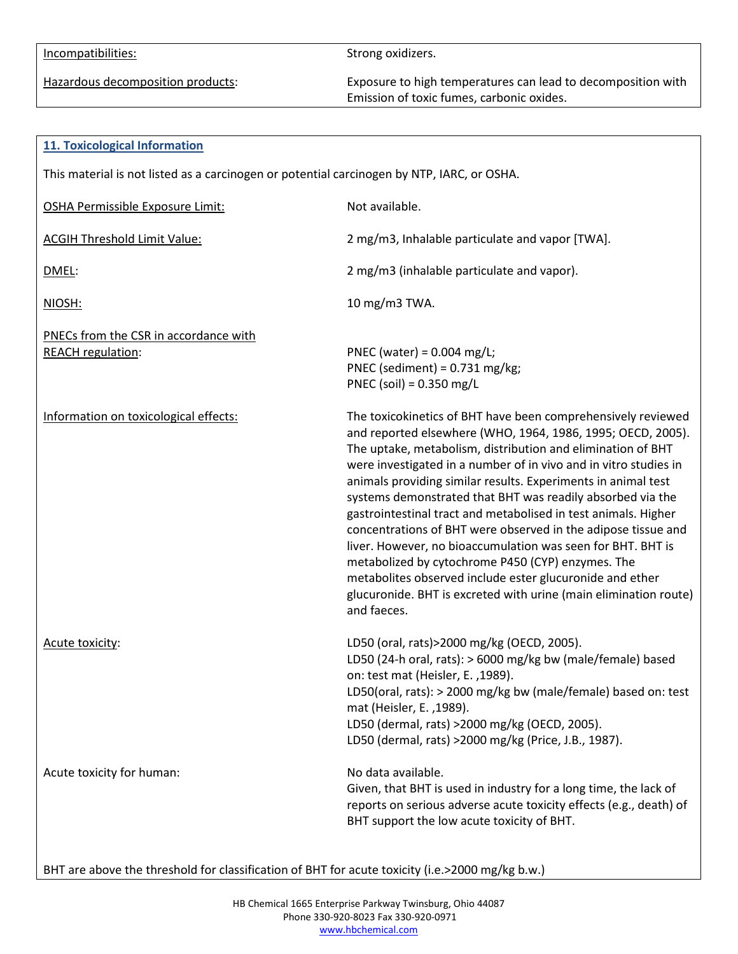Hazardous decomposition products: Exposure to high temperatures can lead to decomposition with Emission of toxic fumes, carbonic oxides.

| <b>11. Toxicological Information</b>                                                       |                                                                                                                                                                                                                                                                                                                                                                                                                                                                                                                                                                                                                                                                                                                                                                                                     |  |
|--------------------------------------------------------------------------------------------|-----------------------------------------------------------------------------------------------------------------------------------------------------------------------------------------------------------------------------------------------------------------------------------------------------------------------------------------------------------------------------------------------------------------------------------------------------------------------------------------------------------------------------------------------------------------------------------------------------------------------------------------------------------------------------------------------------------------------------------------------------------------------------------------------------|--|
| This material is not listed as a carcinogen or potential carcinogen by NTP, IARC, or OSHA. |                                                                                                                                                                                                                                                                                                                                                                                                                                                                                                                                                                                                                                                                                                                                                                                                     |  |
| <b>OSHA Permissible Exposure Limit:</b>                                                    | Not available.                                                                                                                                                                                                                                                                                                                                                                                                                                                                                                                                                                                                                                                                                                                                                                                      |  |
| <b>ACGIH Threshold Limit Value:</b>                                                        | 2 mg/m3, Inhalable particulate and vapor [TWA].                                                                                                                                                                                                                                                                                                                                                                                                                                                                                                                                                                                                                                                                                                                                                     |  |
| DMEL:                                                                                      | 2 mg/m3 (inhalable particulate and vapor).                                                                                                                                                                                                                                                                                                                                                                                                                                                                                                                                                                                                                                                                                                                                                          |  |
| NIOSH:                                                                                     | 10 mg/m3 TWA.                                                                                                                                                                                                                                                                                                                                                                                                                                                                                                                                                                                                                                                                                                                                                                                       |  |
| PNECs from the CSR in accordance with<br><b>REACH regulation:</b>                          | PNEC (water) = $0.004$ mg/L;<br>PNEC (sediment) = $0.731$ mg/kg;<br>PNEC (soil) = $0.350$ mg/L                                                                                                                                                                                                                                                                                                                                                                                                                                                                                                                                                                                                                                                                                                      |  |
| Information on toxicological effects:                                                      | The toxicokinetics of BHT have been comprehensively reviewed<br>and reported elsewhere (WHO, 1964, 1986, 1995; OECD, 2005).<br>The uptake, metabolism, distribution and elimination of BHT<br>were investigated in a number of in vivo and in vitro studies in<br>animals providing similar results. Experiments in animal test<br>systems demonstrated that BHT was readily absorbed via the<br>gastrointestinal tract and metabolised in test animals. Higher<br>concentrations of BHT were observed in the adipose tissue and<br>liver. However, no bioaccumulation was seen for BHT. BHT is<br>metabolized by cytochrome P450 (CYP) enzymes. The<br>metabolites observed include ester glucuronide and ether<br>glucuronide. BHT is excreted with urine (main elimination route)<br>and faeces. |  |
| Acute toxicity:                                                                            | LD50 (oral, rats)>2000 mg/kg (OECD, 2005).<br>LD50 (24-h oral, rats): > 6000 mg/kg bw (male/female) based<br>on: test mat (Heisler, E., 1989).<br>LD50(oral, rats): > 2000 mg/kg bw (male/female) based on: test<br>mat (Heisler, E., 1989).<br>LD50 (dermal, rats) >2000 mg/kg (OECD, 2005).<br>LD50 (dermal, rats) >2000 mg/kg (Price, J.B., 1987).                                                                                                                                                                                                                                                                                                                                                                                                                                               |  |
| Acute toxicity for human:                                                                  | No data available.<br>Given, that BHT is used in industry for a long time, the lack of<br>reports on serious adverse acute toxicity effects (e.g., death) of<br>BHT support the low acute toxicity of BHT.                                                                                                                                                                                                                                                                                                                                                                                                                                                                                                                                                                                          |  |

BHT are above the threshold for classification of BHT for acute toxicity (i.e.>2000 mg/kg b.w.)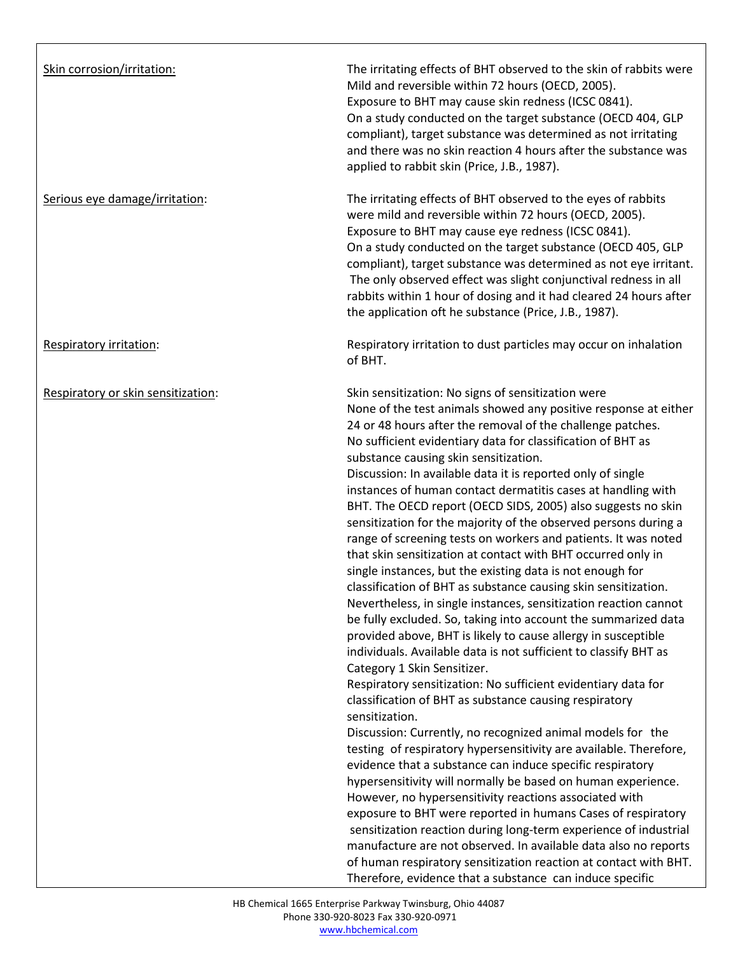| Skin corrosion/irritation:         | The irritating effects of BHT observed to the skin of rabbits were<br>Mild and reversible within 72 hours (OECD, 2005).<br>Exposure to BHT may cause skin redness (ICSC 0841).<br>On a study conducted on the target substance (OECD 404, GLP<br>compliant), target substance was determined as not irritating<br>and there was no skin reaction 4 hours after the substance was<br>applied to rabbit skin (Price, J.B., 1987).                                                                                                                                                                                                                                                                                                                                                                                                                                                                                                                                                                                                                                                                                                                                                                                                                                                                                                                                                                                                                                                                                                                                                                                                                                                                                                                                                                                                                                                                                                                        |
|------------------------------------|--------------------------------------------------------------------------------------------------------------------------------------------------------------------------------------------------------------------------------------------------------------------------------------------------------------------------------------------------------------------------------------------------------------------------------------------------------------------------------------------------------------------------------------------------------------------------------------------------------------------------------------------------------------------------------------------------------------------------------------------------------------------------------------------------------------------------------------------------------------------------------------------------------------------------------------------------------------------------------------------------------------------------------------------------------------------------------------------------------------------------------------------------------------------------------------------------------------------------------------------------------------------------------------------------------------------------------------------------------------------------------------------------------------------------------------------------------------------------------------------------------------------------------------------------------------------------------------------------------------------------------------------------------------------------------------------------------------------------------------------------------------------------------------------------------------------------------------------------------------------------------------------------------------------------------------------------------|
| Serious eye damage/irritation:     | The irritating effects of BHT observed to the eyes of rabbits<br>were mild and reversible within 72 hours (OECD, 2005).<br>Exposure to BHT may cause eye redness (ICSC 0841).<br>On a study conducted on the target substance (OECD 405, GLP<br>compliant), target substance was determined as not eye irritant.<br>The only observed effect was slight conjunctival redness in all<br>rabbits within 1 hour of dosing and it had cleared 24 hours after<br>the application oft he substance (Price, J.B., 1987).                                                                                                                                                                                                                                                                                                                                                                                                                                                                                                                                                                                                                                                                                                                                                                                                                                                                                                                                                                                                                                                                                                                                                                                                                                                                                                                                                                                                                                      |
| Respiratory irritation:            | Respiratory irritation to dust particles may occur on inhalation<br>of BHT.                                                                                                                                                                                                                                                                                                                                                                                                                                                                                                                                                                                                                                                                                                                                                                                                                                                                                                                                                                                                                                                                                                                                                                                                                                                                                                                                                                                                                                                                                                                                                                                                                                                                                                                                                                                                                                                                            |
| Respiratory or skin sensitization: | Skin sensitization: No signs of sensitization were<br>None of the test animals showed any positive response at either<br>24 or 48 hours after the removal of the challenge patches.<br>No sufficient evidentiary data for classification of BHT as<br>substance causing skin sensitization.<br>Discussion: In available data it is reported only of single<br>instances of human contact dermatitis cases at handling with<br>BHT. The OECD report (OECD SIDS, 2005) also suggests no skin<br>sensitization for the majority of the observed persons during a<br>range of screening tests on workers and patients. It was noted<br>that skin sensitization at contact with BHT occurred only in<br>single instances, but the existing data is not enough for<br>classification of BHT as substance causing skin sensitization.<br>Nevertheless, in single instances, sensitization reaction cannot<br>be fully excluded. So, taking into account the summarized data<br>provided above, BHT is likely to cause allergy in susceptible<br>individuals. Available data is not sufficient to classify BHT as<br>Category 1 Skin Sensitizer.<br>Respiratory sensitization: No sufficient evidentiary data for<br>classification of BHT as substance causing respiratory<br>sensitization.<br>Discussion: Currently, no recognized animal models for the<br>testing of respiratory hypersensitivity are available. Therefore,<br>evidence that a substance can induce specific respiratory<br>hypersensitivity will normally be based on human experience.<br>However, no hypersensitivity reactions associated with<br>exposure to BHT were reported in humans Cases of respiratory<br>sensitization reaction during long-term experience of industrial<br>manufacture are not observed. In available data also no reports<br>of human respiratory sensitization reaction at contact with BHT.<br>Therefore, evidence that a substance can induce specific |

 $\Gamma$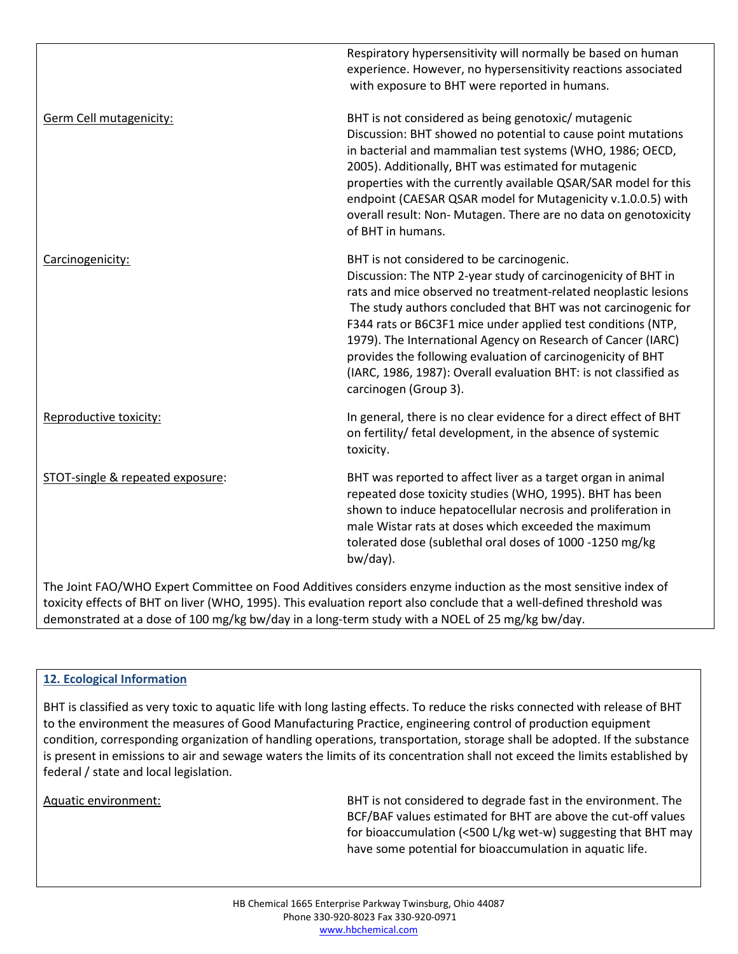|                                  | Respiratory hypersensitivity will normally be based on human<br>experience. However, no hypersensitivity reactions associated<br>with exposure to BHT were reported in humans.                                                                                                                                                                                                                                                                                                                                                            |
|----------------------------------|-------------------------------------------------------------------------------------------------------------------------------------------------------------------------------------------------------------------------------------------------------------------------------------------------------------------------------------------------------------------------------------------------------------------------------------------------------------------------------------------------------------------------------------------|
| Germ Cell mutagenicity:          | BHT is not considered as being genotoxic/ mutagenic<br>Discussion: BHT showed no potential to cause point mutations<br>in bacterial and mammalian test systems (WHO, 1986; OECD,<br>2005). Additionally, BHT was estimated for mutagenic<br>properties with the currently available QSAR/SAR model for this<br>endpoint (CAESAR QSAR model for Mutagenicity v.1.0.0.5) with<br>overall result: Non- Mutagen. There are no data on genotoxicity<br>of BHT in humans.                                                                       |
| Carcinogenicity:                 | BHT is not considered to be carcinogenic.<br>Discussion: The NTP 2-year study of carcinogenicity of BHT in<br>rats and mice observed no treatment-related neoplastic lesions<br>The study authors concluded that BHT was not carcinogenic for<br>F344 rats or B6C3F1 mice under applied test conditions (NTP,<br>1979). The International Agency on Research of Cancer (IARC)<br>provides the following evaluation of carcinogenicity of BHT<br>(IARC, 1986, 1987): Overall evaluation BHT: is not classified as<br>carcinogen (Group 3). |
| Reproductive toxicity:           | In general, there is no clear evidence for a direct effect of BHT<br>on fertility/ fetal development, in the absence of systemic<br>toxicity.                                                                                                                                                                                                                                                                                                                                                                                             |
| STOT-single & repeated exposure: | BHT was reported to affect liver as a target organ in animal<br>repeated dose toxicity studies (WHO, 1995). BHT has been<br>shown to induce hepatocellular necrosis and proliferation in<br>male Wistar rats at doses which exceeded the maximum<br>tolerated dose (sublethal oral doses of 1000 -1250 mg/kg<br>bw/day).                                                                                                                                                                                                                  |

The Joint FAO/WHO Expert Committee on Food Additives considers enzyme induction as the most sensitive index of toxicity effects of BHT on liver (WHO, 1995). This evaluation report also conclude that a well-defined threshold was demonstrated at a dose of 100 mg/kg bw/day in a long-term study with a NOEL of 25 mg/kg bw/day.

# **12. Ecological Information**

BHT is classified as very toxic to aquatic life with long lasting effects. To reduce the risks connected with release of BHT to the environment the measures of Good Manufacturing Practice, engineering control of production equipment condition, corresponding organization of handling operations, transportation, storage shall be adopted. If the substance is present in emissions to air and sewage waters the limits of its concentration shall not exceed the limits established by federal / state and local legislation.

Aquatic environment: BHT is not considered to degrade fast in the environment. The BCF/BAF values estimated for BHT are above the cut-off values for bioaccumulation (<500 L/kg wet-w) suggesting that BHT may have some potential for bioaccumulation in aquatic life.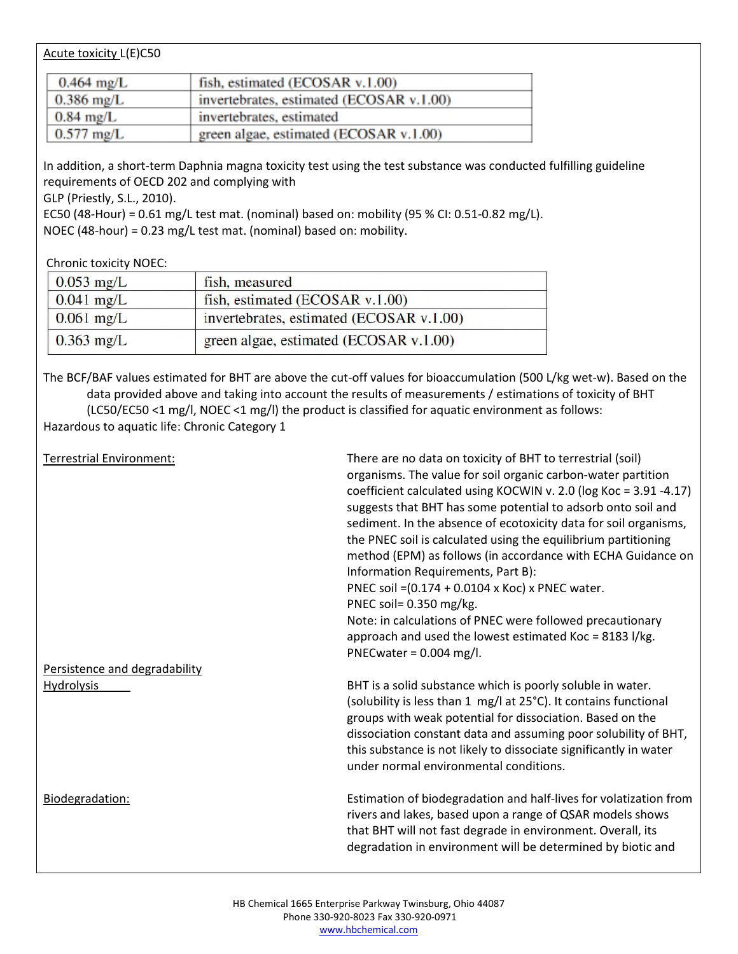## Acute toxicity L(E)C50

| $0.464 \text{ mg/L}$ | fish, estimated (ECOSAR v.1.00)          |
|----------------------|------------------------------------------|
| $0.386$ mg/L         | invertebrates, estimated (ECOSAR v.1.00) |
| $0.84$ mg/L          | invertebrates, estimated                 |
| $0.577$ mg/L         | green algae, estimated (ECOSAR v.1.00)   |

In addition, a short-term Daphnia magna toxicity test using the test substance was conducted fulfilling guideline requirements of OECD 202 and complying with

GLP (Priestly, S.L., 2010).

EC50 (48-Hour) = 0.61 mg/L test mat. (nominal) based on: mobility (95 % CI: 0.51-0.82 mg/L). NOEC (48-hour) = 0.23 mg/L test mat. (nominal) based on: mobility.

Chronic toxicity NOEC:

| $0.053$ mg/L | fish, measured                           |
|--------------|------------------------------------------|
| $0.041$ mg/L | fish, estimated (ECOSAR v.1.00)          |
| $0.061$ mg/L | invertebrates, estimated (ECOSAR v.1.00) |
| $0.363$ mg/L | green algae, estimated (ECOSAR v.1.00)   |

The BCF/BAF values estimated for BHT are above the cut-off values for bioaccumulation (500 L/kg wet-w). Based on the data provided above and taking into account the results of measurements / estimations of toxicity of BHT (LC50/EC50 <1 mg/l, NOEC <1 mg/l) the product is classified for aquatic environment as follows: Hazardous to aquatic life: Chronic Category 1

| <b>Terrestrial Environment:</b>                    | There are no data on toxicity of BHT to terrestrial (soil)<br>organisms. The value for soil organic carbon-water partition<br>coefficient calculated using KOCWIN v. 2.0 (log Koc = 3.91 -4.17)<br>suggests that BHT has some potential to adsorb onto soil and<br>sediment. In the absence of ecotoxicity data for soil organisms,<br>the PNEC soil is calculated using the equilibrium partitioning<br>method (EPM) as follows (in accordance with ECHA Guidance on<br>Information Requirements, Part B):<br>PNEC soil = (0.174 + 0.0104 x Koc) x PNEC water.<br>PNEC soil= 0.350 mg/kg.<br>Note: in calculations of PNEC were followed precautionary<br>approach and used the lowest estimated Koc = 8183 l/kg. |
|----------------------------------------------------|--------------------------------------------------------------------------------------------------------------------------------------------------------------------------------------------------------------------------------------------------------------------------------------------------------------------------------------------------------------------------------------------------------------------------------------------------------------------------------------------------------------------------------------------------------------------------------------------------------------------------------------------------------------------------------------------------------------------|
| Persistence and degradability<br><b>Hydrolysis</b> | PNECwater = $0.004$ mg/l.<br>BHT is a solid substance which is poorly soluble in water.<br>(solubility is less than 1 mg/l at 25°C). It contains functional<br>groups with weak potential for dissociation. Based on the<br>dissociation constant data and assuming poor solubility of BHT,<br>this substance is not likely to dissociate significantly in water<br>under normal environmental conditions.                                                                                                                                                                                                                                                                                                         |
| Biodegradation:                                    | Estimation of biodegradation and half-lives for volatization from<br>rivers and lakes, based upon a range of QSAR models shows<br>that BHT will not fast degrade in environment. Overall, its<br>degradation in environment will be determined by biotic and                                                                                                                                                                                                                                                                                                                                                                                                                                                       |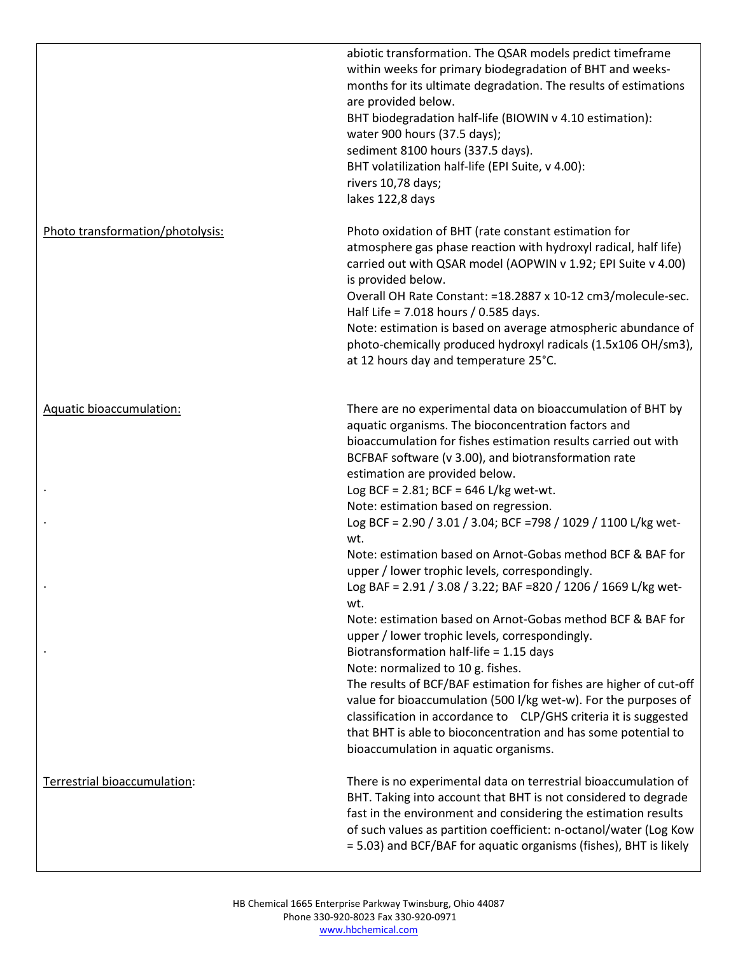|                                  | abiotic transformation. The QSAR models predict timeframe<br>within weeks for primary biodegradation of BHT and weeks-<br>months for its ultimate degradation. The results of estimations<br>are provided below.<br>BHT biodegradation half-life (BIOWIN v 4.10 estimation):<br>water 900 hours (37.5 days);<br>sediment 8100 hours (337.5 days).<br>BHT volatilization half-life (EPI Suite, v 4.00):<br>rivers 10,78 days;<br>lakes 122,8 days                                                                                                                                                                                                                                                                                                                                                                                                                                                                                                                                                                                                                                                                                                                 |
|----------------------------------|------------------------------------------------------------------------------------------------------------------------------------------------------------------------------------------------------------------------------------------------------------------------------------------------------------------------------------------------------------------------------------------------------------------------------------------------------------------------------------------------------------------------------------------------------------------------------------------------------------------------------------------------------------------------------------------------------------------------------------------------------------------------------------------------------------------------------------------------------------------------------------------------------------------------------------------------------------------------------------------------------------------------------------------------------------------------------------------------------------------------------------------------------------------|
| Photo transformation/photolysis: | Photo oxidation of BHT (rate constant estimation for<br>atmosphere gas phase reaction with hydroxyl radical, half life)<br>carried out with QSAR model (AOPWIN v 1.92; EPI Suite v 4.00)<br>is provided below.<br>Overall OH Rate Constant: =18.2887 x 10-12 cm3/molecule-sec.<br>Half Life = 7.018 hours / 0.585 days.<br>Note: estimation is based on average atmospheric abundance of<br>photo-chemically produced hydroxyl radicals (1.5x106 OH/sm3),<br>at 12 hours day and temperature 25°C.                                                                                                                                                                                                                                                                                                                                                                                                                                                                                                                                                                                                                                                               |
| <b>Aquatic bioaccumulation:</b>  | There are no experimental data on bioaccumulation of BHT by<br>aquatic organisms. The bioconcentration factors and<br>bioaccumulation for fishes estimation results carried out with<br>BCFBAF software (v 3.00), and biotransformation rate<br>estimation are provided below.<br>Log BCF = $2.81$ ; BCF = $646$ L/kg wet-wt.<br>Note: estimation based on regression.<br>Log BCF = 2.90 / 3.01 / 3.04; BCF =798 / 1029 / 1100 L/kg wet-<br>wt.<br>Note: estimation based on Arnot-Gobas method BCF & BAF for<br>upper / lower trophic levels, correspondingly.<br>Log BAF = 2.91 / 3.08 / 3.22; BAF =820 / 1206 / 1669 L/kg wet-<br>wt.<br>Note: estimation based on Arnot-Gobas method BCF & BAF for<br>upper / lower trophic levels, correspondingly.<br>Biotransformation half-life = 1.15 days<br>Note: normalized to 10 g. fishes.<br>The results of BCF/BAF estimation for fishes are higher of cut-off<br>value for bioaccumulation (500 l/kg wet-w). For the purposes of<br>classification in accordance to CLP/GHS criteria it is suggested<br>that BHT is able to bioconcentration and has some potential to<br>bioaccumulation in aquatic organisms. |
| Terrestrial bioaccumulation:     | There is no experimental data on terrestrial bioaccumulation of<br>BHT. Taking into account that BHT is not considered to degrade<br>fast in the environment and considering the estimation results<br>of such values as partition coefficient: n-octanol/water (Log Kow<br>= 5.03) and BCF/BAF for aquatic organisms (fishes), BHT is likely                                                                                                                                                                                                                                                                                                                                                                                                                                                                                                                                                                                                                                                                                                                                                                                                                    |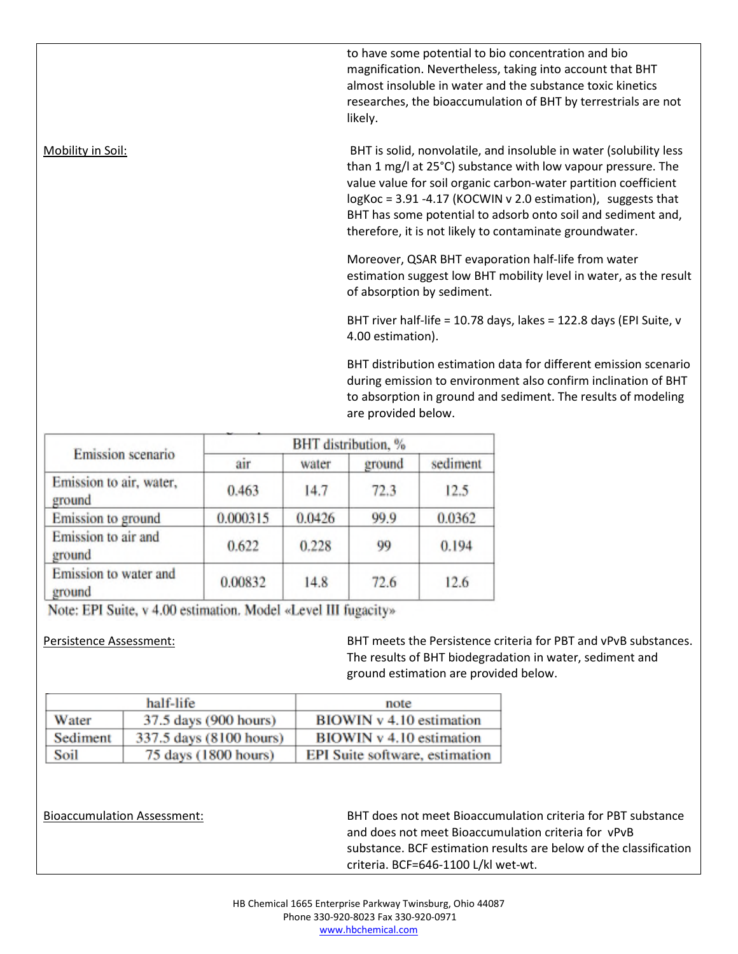to have some potential to bio concentration and bio magnification. Nevertheless, taking into account that BHT almost insoluble in water and the substance toxic kinetics researches, the bioaccumulation of BHT by terrestrials are not likely.

Mobility in Soil: BHT is solid, nonvolatile, and insoluble in water (solubility less than 1 mg/l at 25°C) substance with low vapour pressure. The value value for soil organic carbon-water partition coefficient logKoc = 3.91 -4.17 (KOCWIN v 2.0 estimation), suggests that BHT has some potential to adsorb onto soil and sediment and, therefore, it is not likely to contaminate groundwater.

> Moreover, QSAR BHT evaporation half-life from water estimation suggest low BHT mobility level in water, as the result of absorption by sediment.

BHT river half-life = 10.78 days, lakes = 122.8 days (EPI Suite, v 4.00 estimation).

BHT distribution estimation data for different emission scenario during emission to environment also confirm inclination of BHT to absorption in ground and sediment. The results of modeling are provided below.

| Emission scenario                 | BHT distribution, % |        |        |          |
|-----------------------------------|---------------------|--------|--------|----------|
|                                   | air                 | water  | ground | sediment |
| Emission to air, water,<br>ground | 0.463               | 14.7   | 72.3   | 12.5     |
| Emission to ground                | 0.000315            | 0.0426 | 99.9   | 0.0362   |
| Emission to air and<br>ground     | 0.622               | 0.228  | 99     | 0.194    |
| Emission to water and<br>ground   | 0.00832             | 14.8   | 72.6   | 12.6     |

Note: EPI Suite, v 4.00 estimation. Model «Level III fugacity»

Persistence Assessment: BHT meets the Persistence criteria for PBT and vPvB substances. The results of BHT biodegradation in water, sediment and ground estimation are provided below.

|          | half-life               | note                           |
|----------|-------------------------|--------------------------------|
| Water    | 37.5 days (900 hours)   | BIOWIN v 4.10 estimation       |
| Sediment | 337.5 days (8100 hours) | BIOWIN v 4.10 estimation       |
| Soil     | 75 days (1800 hours)    | EPI Suite software, estimation |

Bioaccumulation Assessment: BHT does not meet Bioaccumulation criteria for PBT substance and does not meet Bioaccumulation criteria for vPvB substance. BCF estimation results are below of the classification criteria. BCF=646-1100 L/kl wet-wt.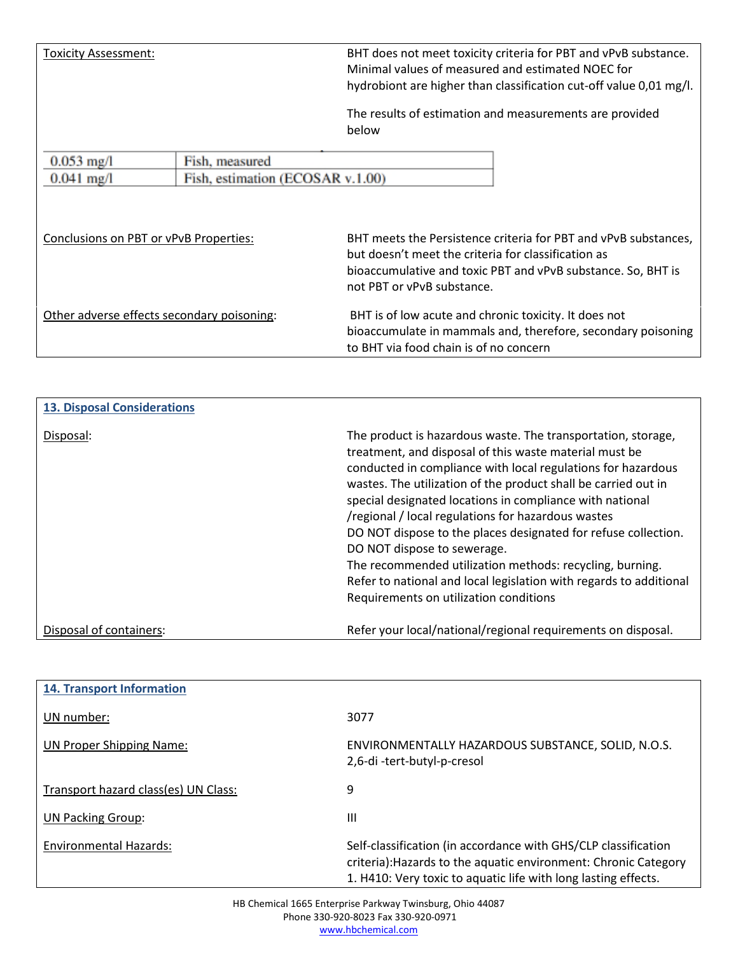Toxicity Assessment: BHT does not meet toxicity criteria for PBT and vPvB substance. Minimal values of measured and estimated NOEC for hydrobiont are higher than classification cut-off value 0,01 mg/l.

> The results of estimation and measurements are provided below

| $0.053$ mg/l                               | Fish, measured                   |                                                                                                                                                                 |
|--------------------------------------------|----------------------------------|-----------------------------------------------------------------------------------------------------------------------------------------------------------------|
| $0.041$ mg/l                               | Fish, estimation (ECOSAR v.1.00) |                                                                                                                                                                 |
| Conclusions on PBT or vPvB Properties:     |                                  | BHT meets the Persistence criteria for PBT and vPvB substances,                                                                                                 |
|                                            |                                  | but doesn't meet the criteria for classification as<br>bioaccumulative and toxic PBT and vPvB substance. So, BHT is<br>not PBT or vPvB substance.               |
| Other adverse effects secondary poisoning: |                                  | BHT is of low acute and chronic toxicity. It does not<br>bioaccumulate in mammals and, therefore, secondary poisoning<br>to BHT via food chain is of no concern |

| <b>13. Disposal Considerations</b> |                                                                                                                                                                                                                                                                                                                                                                                                                                                                                                                                                                                                                                                         |
|------------------------------------|---------------------------------------------------------------------------------------------------------------------------------------------------------------------------------------------------------------------------------------------------------------------------------------------------------------------------------------------------------------------------------------------------------------------------------------------------------------------------------------------------------------------------------------------------------------------------------------------------------------------------------------------------------|
| Disposal:                          | The product is hazardous waste. The transportation, storage,<br>treatment, and disposal of this waste material must be<br>conducted in compliance with local regulations for hazardous<br>wastes. The utilization of the product shall be carried out in<br>special designated locations in compliance with national<br>/regional / local regulations for hazardous wastes<br>DO NOT dispose to the places designated for refuse collection.<br>DO NOT dispose to sewerage.<br>The recommended utilization methods: recycling, burning.<br>Refer to national and local legislation with regards to additional<br>Requirements on utilization conditions |
| Disposal of containers:            | Refer your local/national/regional requirements on disposal.                                                                                                                                                                                                                                                                                                                                                                                                                                                                                                                                                                                            |

| <b>14. Transport Information</b>     |                                                                                                                                                                                                     |
|--------------------------------------|-----------------------------------------------------------------------------------------------------------------------------------------------------------------------------------------------------|
| UN number:                           | 3077                                                                                                                                                                                                |
| UN Proper Shipping Name:             | ENVIRONMENTALLY HAZARDOUS SUBSTANCE, SOLID, N.O.S.<br>2,6-di-tert-butyl-p-cresol                                                                                                                    |
| Transport hazard class(es) UN Class: | 9                                                                                                                                                                                                   |
| <b>UN Packing Group:</b>             | Ш                                                                                                                                                                                                   |
| <b>Environmental Hazards:</b>        | Self-classification (in accordance with GHS/CLP classification<br>criteria): Hazards to the aquatic environment: Chronic Category<br>1. H410: Very toxic to aquatic life with long lasting effects. |